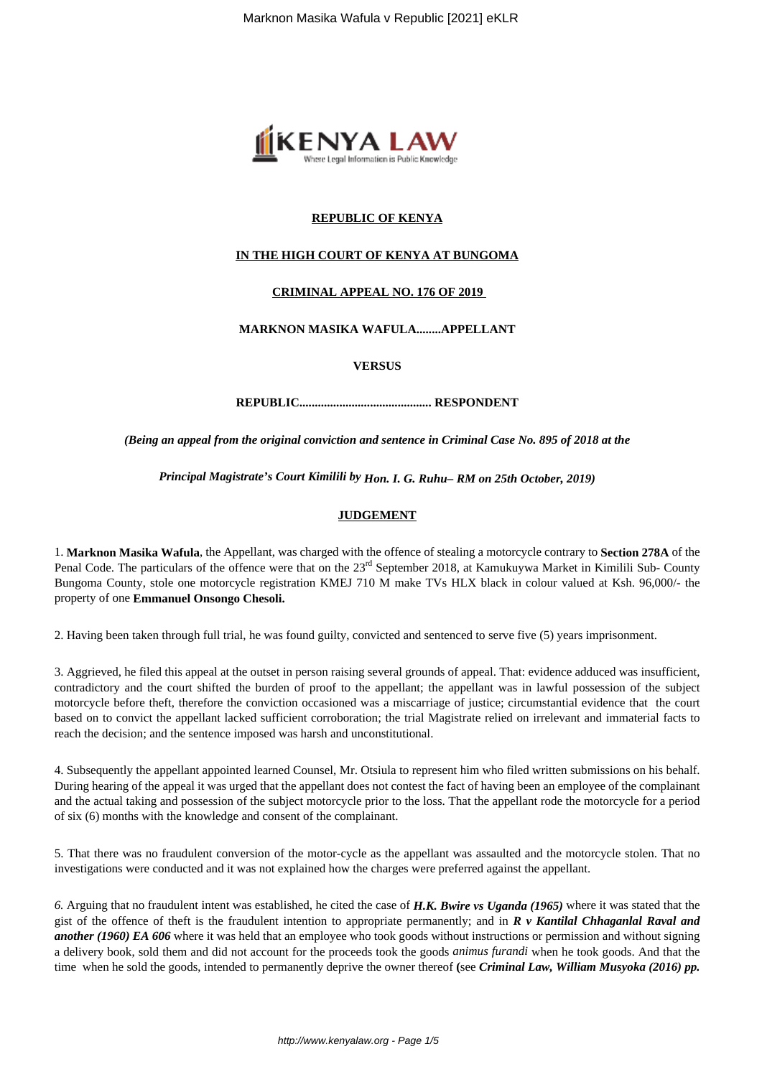

# **REPUBLIC OF KENYA**

## **IN THE HIGH COURT OF KENYA AT BUNGOMA**

### **CRIMINAL APPEAL NO. 176 OF 2019**

### **MARKNON MASIKA WAFULA........APPELLANT**

#### **VERSUS**

**REPUBLIC........................................... RESPONDENT**

*(Being an appeal from the original conviction and sentence in Criminal Case No. 895 of 2018 at the*

*Principal Magistrate's Court Kimilili by Hon. I. G. Ruhu– RM on 25th October, 2019)*

# **JUDGEMENT**

1. **Marknon Masika Wafula**, the Appellant, was charged with the offence of stealing a motorcycle contrary to **Section 278A** of the Penal Code. The particulars of the offence were that on the  $23<sup>rd</sup>$  September 2018, at Kamukuywa Market in Kimilili Sub- County Bungoma County, stole one motorcycle registration KMEJ 710 M make TVs HLX black in colour valued at Ksh. 96,000/- the property of one **Emmanuel Onsongo Chesoli.**

2. Having been taken through full trial, he was found guilty, convicted and sentenced to serve five (5) years imprisonment.

3. Aggrieved, he filed this appeal at the outset in person raising several grounds of appeal. That: evidence adduced was insufficient, contradictory and the court shifted the burden of proof to the appellant; the appellant was in lawful possession of the subject motorcycle before theft, therefore the conviction occasioned was a miscarriage of justice; circumstantial evidence that the court based on to convict the appellant lacked sufficient corroboration; the trial Magistrate relied on irrelevant and immaterial facts to reach the decision; and the sentence imposed was harsh and unconstitutional.

4. Subsequently the appellant appointed learned Counsel, Mr. Otsiula to represent him who filed written submissions on his behalf. During hearing of the appeal it was urged that the appellant does not contest the fact of having been an employee of the complainant and the actual taking and possession of the subject motorcycle prior to the loss. That the appellant rode the motorcycle for a period of six (6) months with the knowledge and consent of the complainant.

5. That there was no fraudulent conversion of the motor-cycle as the appellant was assaulted and the motorcycle stolen. That no investigations were conducted and it was not explained how the charges were preferred against the appellant.

*6.* Arguing that no fraudulent intent was established, he cited the case of *H.K. Bwire vs Uganda (1965)* where it was stated that the gist of the offence of theft is the fraudulent intention to appropriate permanently; and in *R v Kantilal Chhaganlal Raval and another* (1960) EA 606 where it was held that an employee who took goods without instructions or permission and without signing a delivery book, sold them and did not account for the proceeds took the goods *animus furandi* when he took goods. And that the time when he sold the goods, intended to permanently deprive the owner thereof **(**see *Criminal Law, William Musyoka (2016) pp.*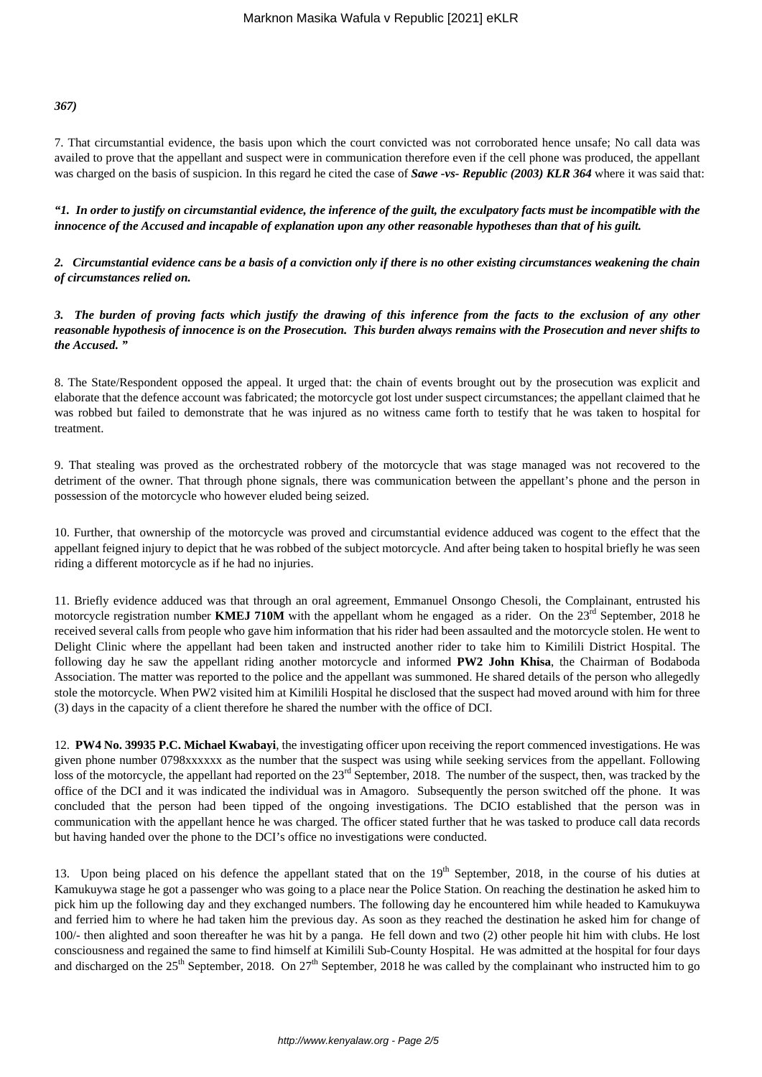### *367)*

7. That circumstantial evidence, the basis upon which the court convicted was not corroborated hence unsafe; No call data was availed to prove that the appellant and suspect were in communication therefore even if the cell phone was produced, the appellant was charged on the basis of suspicion. In this regard he cited the case of *Sawe -vs- Republic (2003) KLR 364* where it was said that:

*"1. In order to justify on circumstantial evidence, the inference of the guilt, the exculpatory facts must be incompatible with the innocence of the Accused and incapable of explanation upon any other reasonable hypotheses than that of his guilt.* 

*2. Circumstantial evidence cans be a basis of a conviction only if there is no other existing circumstances weakening the chain of circumstances relied on.*

*3. The burden of proving facts which justify the drawing of this inference from the facts to the exclusion of any other reasonable hypothesis of innocence is on the Prosecution. This burden always remains with the Prosecution and never shifts to the Accused. "*

8. The State/Respondent opposed the appeal. It urged that: the chain of events brought out by the prosecution was explicit and elaborate that the defence account was fabricated; the motorcycle got lost under suspect circumstances; the appellant claimed that he was robbed but failed to demonstrate that he was injured as no witness came forth to testify that he was taken to hospital for treatment.

9. That stealing was proved as the orchestrated robbery of the motorcycle that was stage managed was not recovered to the detriment of the owner. That through phone signals, there was communication between the appellant's phone and the person in possession of the motorcycle who however eluded being seized.

10. Further, that ownership of the motorcycle was proved and circumstantial evidence adduced was cogent to the effect that the appellant feigned injury to depict that he was robbed of the subject motorcycle. And after being taken to hospital briefly he was seen riding a different motorcycle as if he had no injuries.

11. Briefly evidence adduced was that through an oral agreement, Emmanuel Onsongo Chesoli, the Complainant, entrusted his motorcycle registration number **KMEJ 710M** with the appellant whom he engaged as a rider. On the 23<sup>rd</sup> September, 2018 he received several calls from people who gave him information that his rider had been assaulted and the motorcycle stolen. He went to Delight Clinic where the appellant had been taken and instructed another rider to take him to Kimilili District Hospital. The following day he saw the appellant riding another motorcycle and informed **PW2 John Khisa**, the Chairman of Bodaboda Association. The matter was reported to the police and the appellant was summoned. He shared details of the person who allegedly stole the motorcycle. When PW2 visited him at Kimilili Hospital he disclosed that the suspect had moved around with him for three (3) days in the capacity of a client therefore he shared the number with the office of DCI.

12. **PW4 No. 39935 P.C. Michael Kwabayi**, the investigating officer upon receiving the report commenced investigations. He was given phone number 0798xxxxxx as the number that the suspect was using while seeking services from the appellant. Following loss of the motorcycle, the appellant had reported on the 23<sup>rd</sup> September, 2018. The number of the suspect, then, was tracked by the office of the DCI and it was indicated the individual was in Amagoro. Subsequently the person switched off the phone. It was concluded that the person had been tipped of the ongoing investigations. The DCIO established that the person was in communication with the appellant hence he was charged. The officer stated further that he was tasked to produce call data records but having handed over the phone to the DCI's office no investigations were conducted.

13. Upon being placed on his defence the appellant stated that on the 19<sup>th</sup> September, 2018, in the course of his duties at Kamukuywa stage he got a passenger who was going to a place near the Police Station. On reaching the destination he asked him to pick him up the following day and they exchanged numbers. The following day he encountered him while headed to Kamukuywa and ferried him to where he had taken him the previous day. As soon as they reached the destination he asked him for change of 100/- then alighted and soon thereafter he was hit by a panga. He fell down and two (2) other people hit him with clubs. He lost consciousness and regained the same to find himself at Kimilili Sub-County Hospital. He was admitted at the hospital for four days and discharged on the  $25<sup>th</sup>$  September, 2018. On  $27<sup>th</sup>$  September, 2018 he was called by the complainant who instructed him to go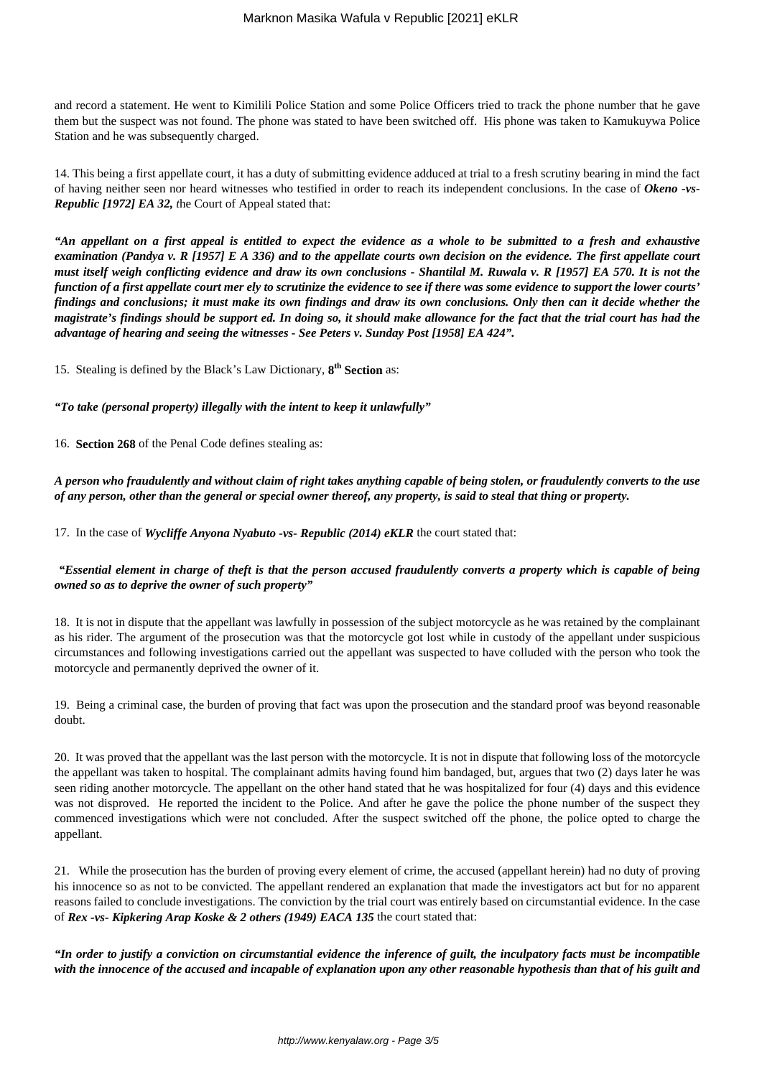and record a statement. He went to Kimilili Police Station and some Police Officers tried to track the phone number that he gave them but the suspect was not found. The phone was stated to have been switched off. His phone was taken to Kamukuywa Police Station and he was subsequently charged.

14. This being a first appellate court, it has a duty of submitting evidence adduced at trial to a fresh scrutiny bearing in mind the fact of having neither seen nor heard witnesses who testified in order to reach its independent conclusions. In the case of *Okeno -vs-Republic [1972] EA 32, t*he Court of Appeal stated that:

*"An appellant on a first appeal is entitled to expect the evidence as a whole to be submitted to a fresh and exhaustive examination (Pandya v. R [1957] E A 336) and to the appellate courts own decision on the evidence. The first appellate court must itself weigh conflicting evidence and draw its own conclusions - Shantilal M. Ruwala v. R [1957] EA 570. It is not the function of a first appellate court mer ely to scrutinize the evidence to see if there was some evidence to support the lower courts' findings and conclusions; it must make its own findings and draw its own conclusions. Only then can it decide whether the magistrate's findings should be support ed. In doing so, it should make allowance for the fact that the trial court has had the advantage of hearing and seeing the witnesses - See Peters v. Sunday Post [1958] EA 424".* 

15. Stealing is defined by the Black's Law Dictionary, **8 th Section** as:

*"To take (personal property) illegally with the intent to keep it unlawfully"*

16. **Section 268** of the Penal Code defines stealing as:

*A person who fraudulently and without claim of right takes anything capable of being stolen, or fraudulently converts to the use of any person, other than the general or special owner thereof, any property, is said to steal that thing or property.*

17. In the case of *Wycliffe Anyona Nyabuto -vs- Republic (2014) eKLR* the court stated that:

# *"Essential element in charge of theft is that the person accused fraudulently converts a property which is capable of being owned so as to deprive the owner of such property"*

18. It is not in dispute that the appellant was lawfully in possession of the subject motorcycle as he was retained by the complainant as his rider. The argument of the prosecution was that the motorcycle got lost while in custody of the appellant under suspicious circumstances and following investigations carried out the appellant was suspected to have colluded with the person who took the motorcycle and permanently deprived the owner of it.

19. Being a criminal case, the burden of proving that fact was upon the prosecution and the standard proof was beyond reasonable doubt.

20. It was proved that the appellant was the last person with the motorcycle. It is not in dispute that following loss of the motorcycle the appellant was taken to hospital. The complainant admits having found him bandaged, but, argues that two (2) days later he was seen riding another motorcycle. The appellant on the other hand stated that he was hospitalized for four (4) days and this evidence was not disproved. He reported the incident to the Police. And after he gave the police the phone number of the suspect they commenced investigations which were not concluded. After the suspect switched off the phone, the police opted to charge the appellant.

21. While the prosecution has the burden of proving every element of crime, the accused (appellant herein) had no duty of proving his innocence so as not to be convicted. The appellant rendered an explanation that made the investigators act but for no apparent reasons failed to conclude investigations. The conviction by the trial court was entirely based on circumstantial evidence. In the case of *Rex -vs- Kipkering Arap Koske & 2 others (1949) EACA 135* the court stated that:

*"In order to justify a conviction on circumstantial evidence the inference of guilt, the inculpatory facts must be incompatible with the innocence of the accused and incapable of explanation upon any other reasonable hypothesis than that of his guilt and*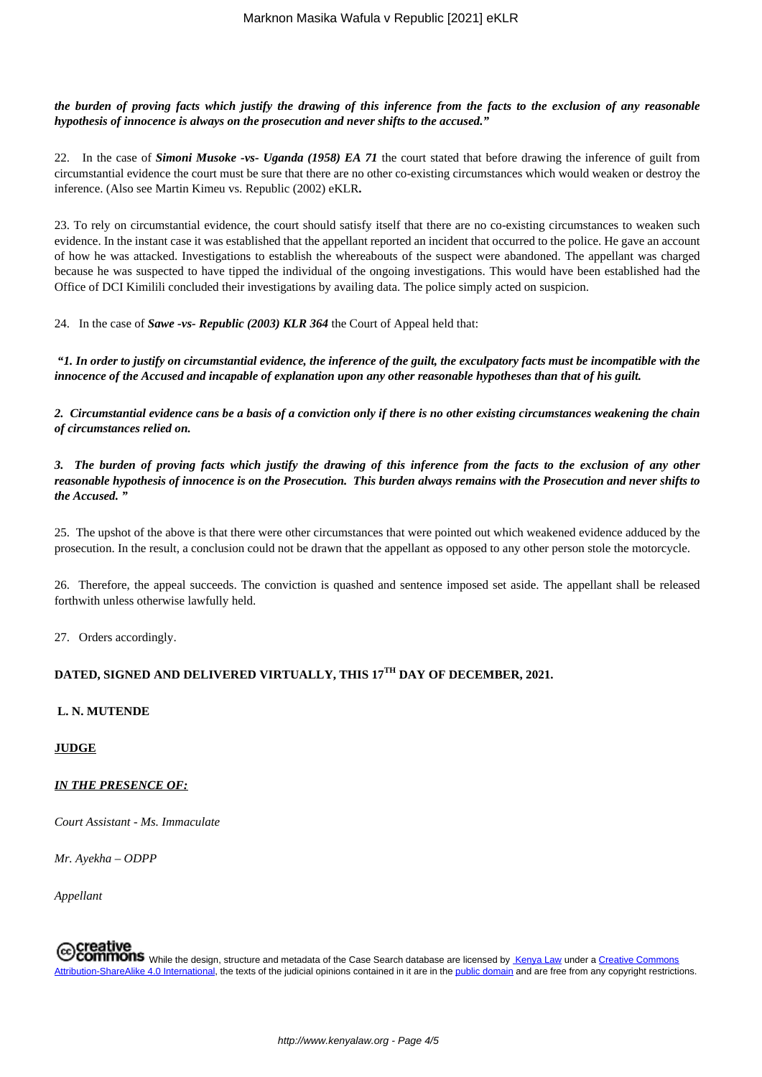*the burden of proving facts which justify the drawing of this inference from the facts to the exclusion of any reasonable hypothesis of innocence is always on the prosecution and never shifts to the accused."*

22. In the case of *Simoni Musoke -vs- Uganda (1958) EA 71* the court stated that before drawing the inference of guilt from circumstantial evidence the court must be sure that there are no other co-existing circumstances which would weaken or destroy the inference. (Also see Martin Kimeu vs. Republic (2002) eKLR**.**

23. To rely on circumstantial evidence, the court should satisfy itself that there are no co-existing circumstances to weaken such evidence. In the instant case it was established that the appellant reported an incident that occurred to the police. He gave an account of how he was attacked. Investigations to establish the whereabouts of the suspect were abandoned. The appellant was charged because he was suspected to have tipped the individual of the ongoing investigations. This would have been established had the Office of DCI Kimilili concluded their investigations by availing data. The police simply acted on suspicion.

24. In the case of *Sawe -vs- Republic (2003) KLR 364* the Court of Appeal held that:

*"1. In order to justify on circumstantial evidence, the inference of the guilt, the exculpatory facts must be incompatible with the innocence of the Accused and incapable of explanation upon any other reasonable hypotheses than that of his guilt.* 

*2. Circumstantial evidence cans be a basis of a conviction only if there is no other existing circumstances weakening the chain of circumstances relied on.*

*3. The burden of proving facts which justify the drawing of this inference from the facts to the exclusion of any other reasonable hypothesis of innocence is on the Prosecution. This burden always remains with the Prosecution and never shifts to the Accused. "*

25. The upshot of the above is that there were other circumstances that were pointed out which weakened evidence adduced by the prosecution. In the result, a conclusion could not be drawn that the appellant as opposed to any other person stole the motorcycle.

26. Therefore, the appeal succeeds. The conviction is quashed and sentence imposed set aside. The appellant shall be released forthwith unless otherwise lawfully held.

27. Orders accordingly.

# **DATED, SIGNED AND DELIVERED VIRTUALLY, THIS 17TH DAY OF DECEMBER, 2021.**

### **L. N. MUTENDE**

**JUDGE**

### *IN THE PRESENCE OF:*

*Court Assistant - Ms. Immaculate*

*Mr. Ayekha – ODPP*

*Appellant*

COMMONS While the design, structure and metadata of the Case Search database are licensed by Kenya Law under a Creative Commons Attribution-ShareAlike 4.0 International, the texts of the judicial opinions contained in it are in the public domain and are free from any copyright restrictions.